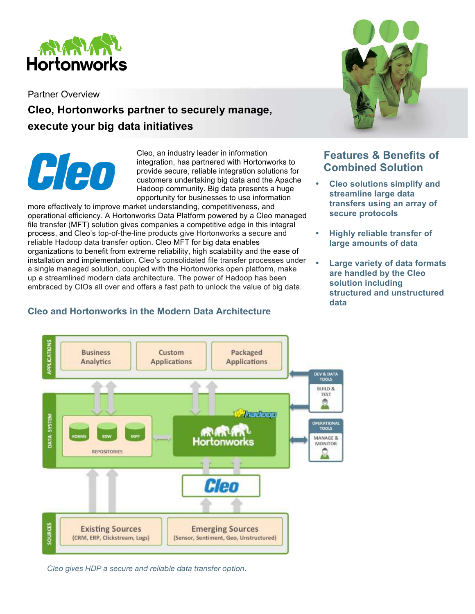

Partner Overview

# **Cleo, Hortonworks partner to securely manage, execute your big data initiatives**



Cleo, an industry leader in information integration, has partnered with Hortonworks to provide secure, reliable integration solutions for customers undertaking big data and the Apache Hadoop community. Big data presents a huge opportunity for businesses to use information

more effectively to improve market understanding, competitiveness, and operational efficiency. A Hortonworks Data Platform powered by a Cleo managed file transfer (MFT) solution gives companies a competitive edge in this integral process, and Cleo's top-of-the-line products give Hortonworks a secure and reliable Hadoop data transfer option. Cleo MFT for big data enables organizations to benefit from extreme reliability, high scalability and the ease of installation and implementation. Cleo's consolidated file transfer processes under a single managed solution, coupled with the Hortonworks open platform, make up a streamlined modern data architecture. The power of Hadoop has been embraced by CIOs all over and offers a fast path to unlock the value of big data.



## **Features & Benefits of Combined Solution**

- **Cleo solutions simplify and streamline large data transfers using an array of secure protocols**
- **Highly reliable transfer of large amounts of data**
- **Large variety of data formats are handled by the Cleo solution including structured and unstructured data**



#### **Cleo and Hortonworks in the Modern Data Architecture**

*Cleo gives HDP a secure and reliable data transfer option.*